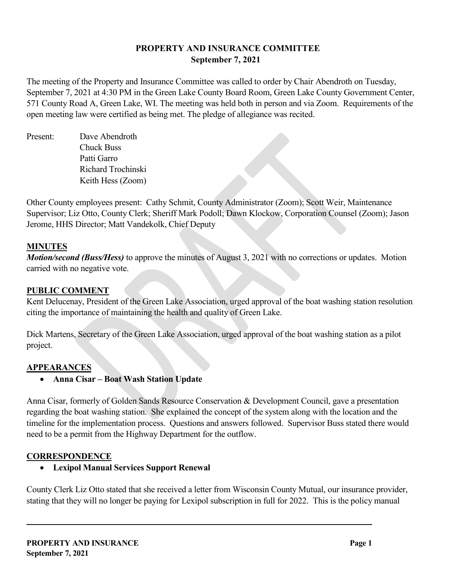# **PROPERTY AND INSURANCE COMMITTEE September 7, 2021**

The meeting of the Property and Insurance Committee was called to order by Chair Abendroth on Tuesday, September 7, 2021 at 4:30 PM in the Green Lake County Board Room, Green Lake County Government Center, 571 County Road A, Green Lake, WI. The meeting was held both in person and via Zoom. Requirements of the open meeting law were certified as being met. The pledge of allegiance was recited.

Present: Dave Abendroth Chuck Buss Patti Garro Richard Trochinski Keith Hess (Zoom)

Other County employees present: Cathy Schmit, County Administrator (Zoom); Scott Weir, Maintenance Supervisor; Liz Otto, County Clerk; Sheriff Mark Podoll; Dawn Klockow, Corporation Counsel (Zoom); Jason Jerome, HHS Director; Matt Vandekolk, Chief Deputy

# **MINUTES**

*Motion/second (Buss/Hess)* to approve the minutes of August 3, 2021 with no corrections or updates. Motion carried with no negative vote.

# **PUBLIC COMMENT**

Kent Delucenay, President of the Green Lake Association, urged approval of the boat washing station resolution citing the importance of maintaining the health and quality of Green Lake.

Dick Martens, Secretary of the Green Lake Association, urged approval of the boat washing station as a pilot project.

## **APPEARANCES**

• **Anna Cisar – Boat Wash Station Update**

Anna Cisar, formerly of Golden Sands Resource Conservation & Development Council, gave a presentation regarding the boat washing station. She explained the concept of the system along with the location and the timeline for the implementation process. Questions and answers followed. Supervisor Buss stated there would need to be a permit from the Highway Department for the outflow.

## **CORRESPONDENCE**

• **Lexipol Manual Services Support Renewal**

County Clerk Liz Otto stated that she received a letter from Wisconsin County Mutual, our insurance provider, stating that they will no longer be paying for Lexipol subscription in full for 2022. This is the policy manual